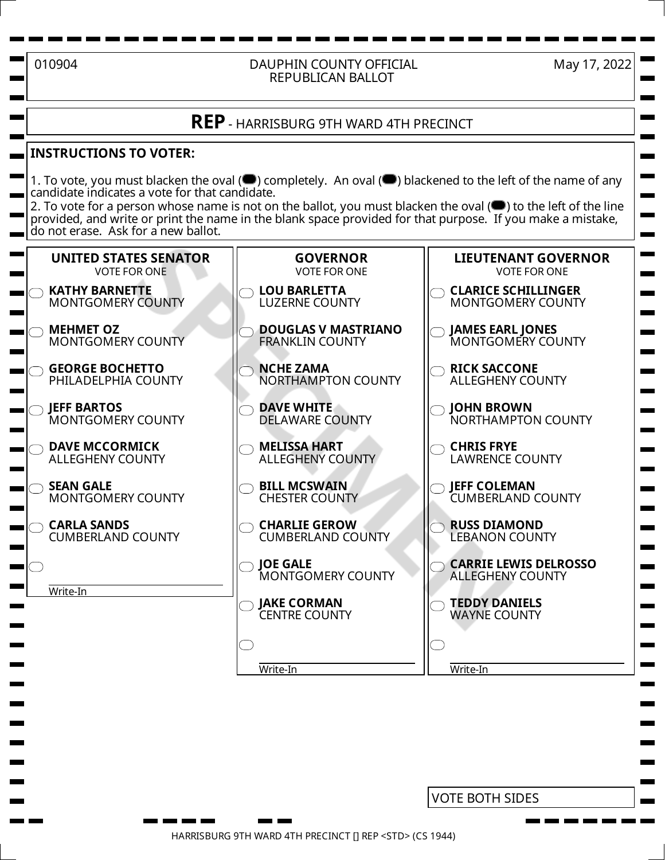## 010904 DAUPHIN COUNTY OFFICIAL REPUBLICAN BALLOT

## **REP**- HARRISBURG 9TH WARD 4TH PRECINCT

## **INSTRUCTIONS TO VOTER:**

1. To vote, you must blacken the oval ( $\blacksquare$ ) completely. An oval ( $\blacksquare$ ) blackened to the left of the name of anv candidate indicates a vote for that candidate.

2. To vote for a person whose name is not on the ballot, you must blacken the oval  $($ **•**) to the left of the line provided, and write or print the name in the blank space provided for that purpose. If you make a mistake, do not erase. Ask for a new ballot.